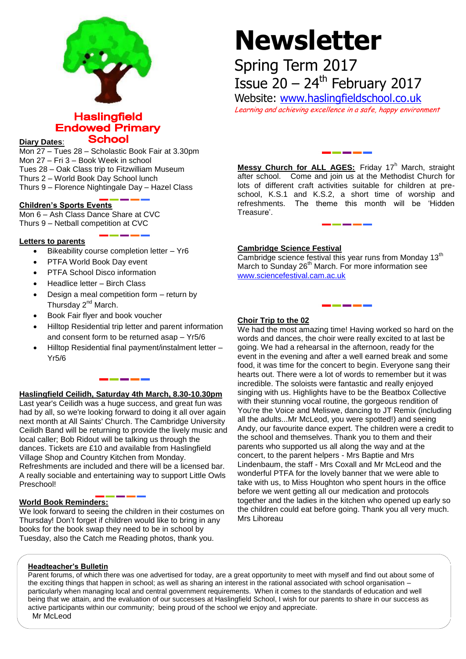

# **Haslingfield Endowed Primary School**

# **Diary Dates**:

Mon 27 – Tues 28 – Scholastic Book Fair at 3.30pm Mon 27 – Fri 3 – Book Week in school Tues 28 – Oak Class trip to Fitzwilliam Museum Thurs 2 – World Book Day School lunch Thurs 9 – Florence Nightingale Day – Hazel Class

## **Children's Sports Events**

Mon 6 – Ash Class Dance Share at CVC Thurs 9 – Netball competition at CVC

#### **Letters to parents**

- $\bullet$  Bikeability course completion letter Yr6
- PTFA World Book Day event
- PTFA School Disco information
- Headlice letter Birch Class
- Design a meal competition form return by Thursday 2<sup>nd</sup> March.
- Book Fair flyer and book voucher
- Hilltop Residential trip letter and parent information and consent form to be returned asap – Yr5/6
- Hilltop Residential final payment/instalment letter Yr5/6

### **Haslingfield Ceilidh, Saturday 4th March, 8.30-10.30pm**

Last year's Ceilidh was a huge success, and great fun was had by all, so we're looking forward to doing it all over again next month at All Saints' Church. The Cambridge University Ceilidh Band will be returning to provide the lively music and local caller; Bob Ridout will be talking us through the dances. Tickets are £10 and available from Haslingfield Village Shop and Country Kitchen from Monday. Refreshments are included and there will be a licensed bar. A really sociable and entertaining way to support Little Owls Preschool!

#### **World Book Reminders:**

We look forward to seeing the children in their costumes on Thursday! Don't forget if children would like to bring in any books for the book swap they need to be in school by Tuesday, also the Catch me Reading photos, thank you.

# **Newsletter**

Spring Term 2017 Issue  $20 - 24$ <sup>th</sup> February 2017

Website: [www.haslingfieldschool.co.uk](http://www.haslingfieldschool.co.uk/)

Learning and achieving excellence in a safe, happy environment

Messy Church for ALL AGES: Friday 17<sup>h</sup> March, straight after school. Come and join us at the Methodist Church for lots of different craft activities suitable for children at preschool, K.S.1 and K.S.2, a short time of worship and refreshments. The theme this month will be 'Hidden Treasure'.

### **Cambridge Science Festival**

Cambridge science festival this year runs from Monday 13<sup>th</sup> March to Sunday 26<sup>th</sup> March. For more information see [www.sciencefestival.cam.ac.uk](http://www.sciencefestival.cam.ac.uk/)

### **Choir Trip to the 02**

We had the most amazing time! Having worked so hard on the words and dances, the choir were really excited to at last be going. We had a rehearsal in the afternoon, ready for the event in the evening and after a well earned break and some food, it was time for the concert to begin. Everyone sang their hearts out. There were a lot of words to remember but it was incredible. The soloists were fantastic and really enjoyed singing with us. Highlights have to be the Beatbox Collective with their stunning vocal routine, the gorgeous rendition of You're the Voice and Meliswe, dancing to JT Remix (including all the adults...Mr McLeod, you were spotted!) and seeing Andy, our favourite dance expert. The children were a credit to the school and themselves. Thank you to them and their parents who supported us all along the way and at the concert, to the parent helpers - Mrs Baptie and Mrs Lindenbaum, the staff - Mrs Coxall and Mr McLeod and the wonderful PTFA for the lovely banner that we were able to take with us, to Miss Houghton who spent hours in the office before we went getting all our medication and protocols together and the ladies in the kitchen who opened up early so the children could eat before going. Thank you all very much. Mrs Lihoreau

#### **Headteacher's Bulletin**

Parent forums, of which there was one advertised for today, are a great opportunity to meet with myself and find out about some of the exciting things that happen in school; as well as sharing an interest in the rational associated with school organisation – particularly when managing local and central government requirements. When it comes to the standards of education and well being that we attain, and the evaluation of our successes at Haslingfield School, I wish for our parents to share in our success as active participants within our community; being proud of the school we enjoy and appreciate. Mr McLeod